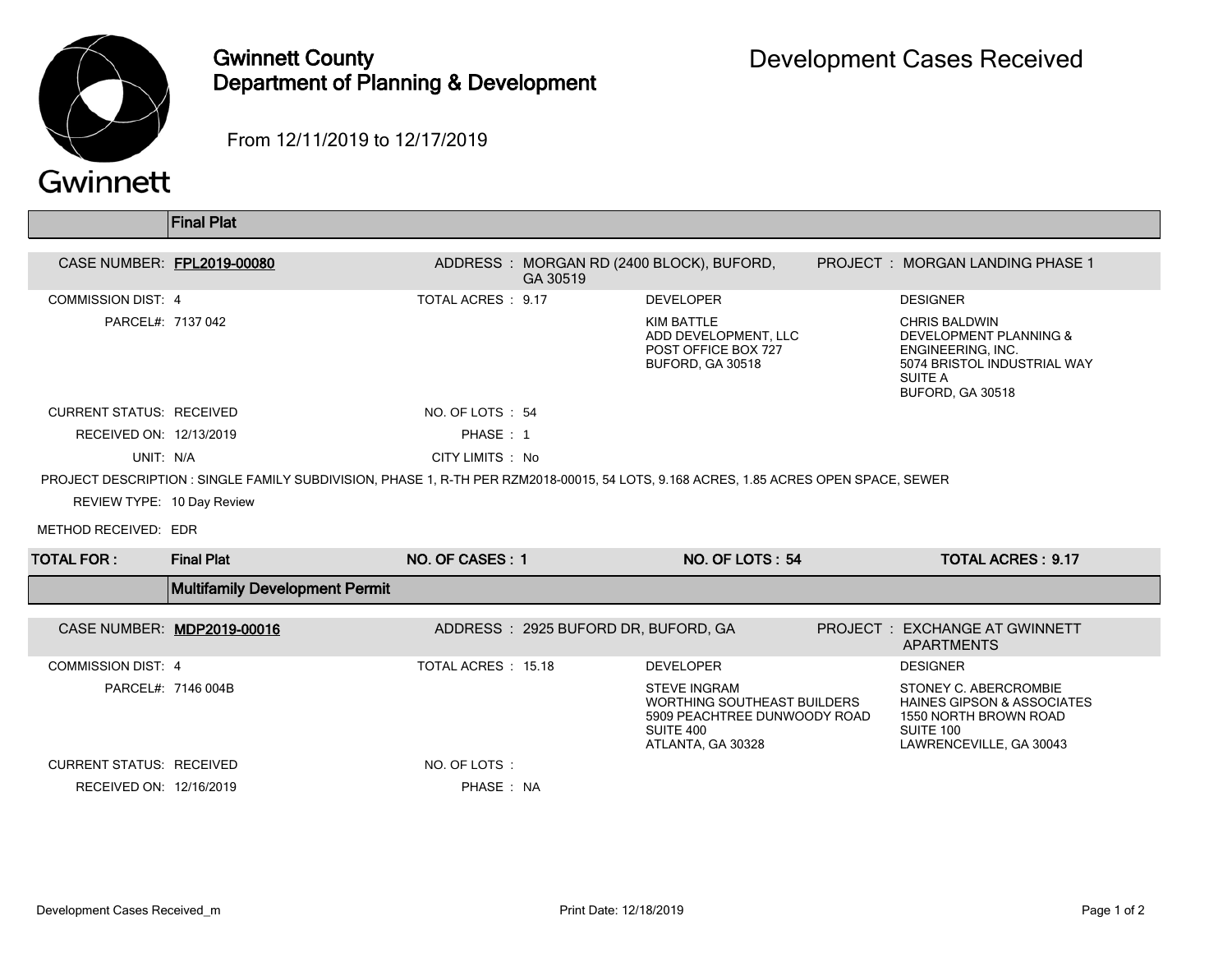

## Gwinnett County Department of Planning & Development

From 12/11/2019 to 12/17/2019

|                                                                                                                                     | <b>Final Plat</b>                     |                    |                                     |                                                                                                                      |  |                                                                                                                                              |  |
|-------------------------------------------------------------------------------------------------------------------------------------|---------------------------------------|--------------------|-------------------------------------|----------------------------------------------------------------------------------------------------------------------|--|----------------------------------------------------------------------------------------------------------------------------------------------|--|
|                                                                                                                                     |                                       |                    |                                     |                                                                                                                      |  |                                                                                                                                              |  |
| CASE NUMBER: FPL2019-00080                                                                                                          |                                       |                    | GA 30519                            | ADDRESS: MORGAN RD (2400 BLOCK), BUFORD,                                                                             |  | PROJECT : MORGAN LANDING PHASE 1                                                                                                             |  |
| <b>COMMISSION DIST: 4</b>                                                                                                           |                                       | TOTAL ACRES : 9.17 |                                     | <b>DEVELOPER</b>                                                                                                     |  | <b>DESIGNER</b>                                                                                                                              |  |
| PARCEL#: 7137 042                                                                                                                   |                                       |                    |                                     | <b>KIM BATTLE</b><br>ADD DEVELOPMENT, LLC<br>POST OFFICE BOX 727<br>BUFORD, GA 30518                                 |  | <b>CHRIS BALDWIN</b><br><b>DEVELOPMENT PLANNING &amp;</b><br>ENGINEERING. INC.<br>5074 BRISTOL INDUSTRIAL WAY<br>SUITE A<br>BUFORD, GA 30518 |  |
| <b>CURRENT STATUS: RECEIVED</b>                                                                                                     |                                       | NO. OF LOTS: 54    |                                     |                                                                                                                      |  |                                                                                                                                              |  |
| RECEIVED ON: 12/13/2019                                                                                                             |                                       | PHASE: 1           |                                     |                                                                                                                      |  |                                                                                                                                              |  |
| UNIT: N/A                                                                                                                           |                                       | CITY LIMITS : No   |                                     |                                                                                                                      |  |                                                                                                                                              |  |
| PROJECT DESCRIPTION: SINGLE FAMILY SUBDIVISION, PHASE 1, R-TH PER RZM2018-00015, 54 LOTS, 9.168 ACRES, 1.85 ACRES OPEN SPACE, SEWER |                                       |                    |                                     |                                                                                                                      |  |                                                                                                                                              |  |
| REVIEW TYPE: 10 Day Review                                                                                                          |                                       |                    |                                     |                                                                                                                      |  |                                                                                                                                              |  |
| METHOD RECEIVED: EDR                                                                                                                |                                       |                    |                                     |                                                                                                                      |  |                                                                                                                                              |  |
| <b>TOTAL FOR:</b>                                                                                                                   | <b>Final Plat</b>                     | NO. OF CASES: 1    |                                     | <b>NO. OF LOTS: 54</b>                                                                                               |  | <b>TOTAL ACRES: 9.17</b>                                                                                                                     |  |
|                                                                                                                                     | <b>Multifamily Development Permit</b> |                    |                                     |                                                                                                                      |  |                                                                                                                                              |  |
|                                                                                                                                     | CASE NUMBER: MDP2019-00016            |                    | ADDRESS: 2925 BUFORD DR, BUFORD, GA |                                                                                                                      |  | PROJECT: EXCHANGE AT GWINNETT<br><b>APARTMENTS</b>                                                                                           |  |
| <b>COMMISSION DIST: 4</b>                                                                                                           |                                       | TOTAL ACRES: 15.18 |                                     | <b>DEVELOPER</b>                                                                                                     |  | <b>DESIGNER</b>                                                                                                                              |  |
|                                                                                                                                     | PARCEL#: 7146 004B                    |                    |                                     | <b>STEVE INGRAM</b><br>WORTHING SOUTHEAST BUILDERS<br>5909 PEACHTREE DUNWOODY ROAD<br>SUITE 400<br>ATLANTA, GA 30328 |  | STONEY C. ABERCROMBIE<br><b>HAINES GIPSON &amp; ASSOCIATES</b><br>1550 NORTH BROWN ROAD<br>SUITE 100<br>LAWRENCEVILLE, GA 30043              |  |
| <b>CURRENT STATUS: RECEIVED</b>                                                                                                     |                                       | NO. OF LOTS:       |                                     |                                                                                                                      |  |                                                                                                                                              |  |
| RECEIVED ON: 12/16/2019                                                                                                             |                                       | PHASE: NA          |                                     |                                                                                                                      |  |                                                                                                                                              |  |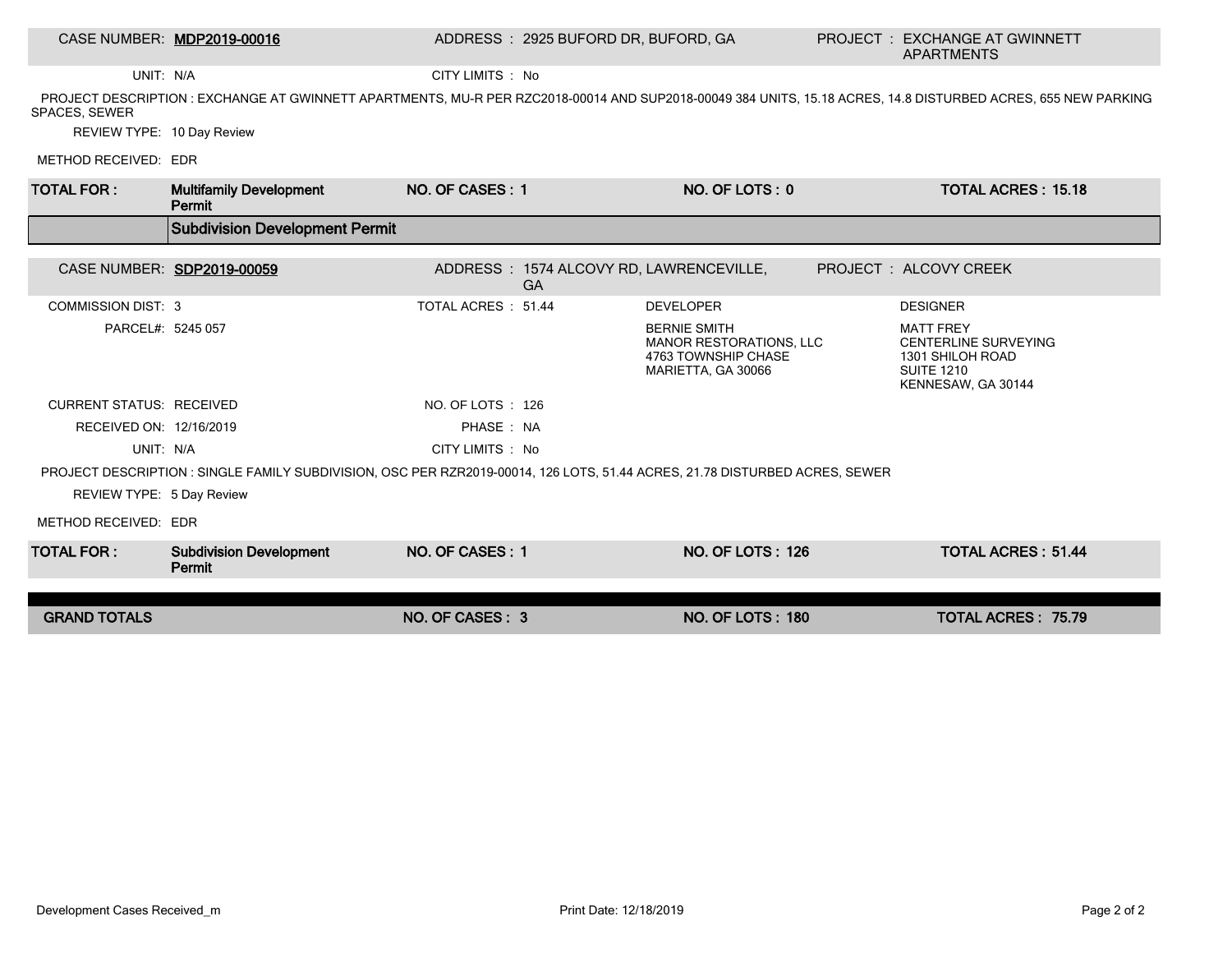## CASE NUMBER: MDP2019-00016 ADDRESS : 2925 BUFORD DR, BUFORD, GA PROJECT : EXCHANGE AT GWINNETT

UNIT: N/A CITY LIMITS : No

 PROJECT DESCRIPTION : EXCHANGE AT GWINNETT APARTMENTS, MU-R PER RZC2018-00014 AND SUP2018-00049 384 UNITS, 15.18 ACRES, 14.8 DISTURBED ACRES, 655 NEW PARKING SPACES, SEWER

REVIEW TYPE: 10 Day Review

METHOD RECEIVED: EDR

| <b>TOTAL FOR:</b>                                                                                                           | <b>Multifamily Development</b><br>Permit | NO. OF CASES: 1    |           | NO. OF LOTS: 0                                                                              |  | <b>TOTAL ACRES: 15.18</b>                                                                                      |  |
|-----------------------------------------------------------------------------------------------------------------------------|------------------------------------------|--------------------|-----------|---------------------------------------------------------------------------------------------|--|----------------------------------------------------------------------------------------------------------------|--|
|                                                                                                                             | <b>Subdivision Development Permit</b>    |                    |           |                                                                                             |  |                                                                                                                |  |
|                                                                                                                             | CASE NUMBER: SDP2019-00059               |                    |           | ADDRESS: 1574 ALCOVY RD, LAWRENCEVILLE,                                                     |  | PROJECT : ALCOVY CREEK                                                                                         |  |
|                                                                                                                             |                                          |                    | <b>GA</b> |                                                                                             |  |                                                                                                                |  |
| <b>COMMISSION DIST: 3</b>                                                                                                   |                                          | TOTAL ACRES: 51.44 |           | <b>DEVELOPER</b>                                                                            |  | <b>DESIGNER</b>                                                                                                |  |
| PARCEL#: 5245 057                                                                                                           |                                          |                    |           | <b>BERNIE SMITH</b><br>MANOR RESTORATIONS, LLC<br>4763 TOWNSHIP CHASE<br>MARIETTA, GA 30066 |  | <b>MATT FREY</b><br><b>CENTERLINE SURVEYING</b><br>1301 SHILOH ROAD<br><b>SUITE 1210</b><br>KENNESAW, GA 30144 |  |
| <b>CURRENT STATUS: RECEIVED</b>                                                                                             |                                          | NO. OF LOTS: 126   |           |                                                                                             |  |                                                                                                                |  |
| RECEIVED ON: 12/16/2019                                                                                                     |                                          | PHASE: NA          |           |                                                                                             |  |                                                                                                                |  |
| UNIT: N/A                                                                                                                   |                                          | CITY LIMITS : No   |           |                                                                                             |  |                                                                                                                |  |
| PROJECT DESCRIPTION : SINGLE FAMILY SUBDIVISION, OSC PER RZR2019-00014, 126 LOTS, 51.44 ACRES, 21.78 DISTURBED ACRES, SEWER |                                          |                    |           |                                                                                             |  |                                                                                                                |  |
| REVIEW TYPE: 5 Day Review                                                                                                   |                                          |                    |           |                                                                                             |  |                                                                                                                |  |
| METHOD RECEIVED: EDR                                                                                                        |                                          |                    |           |                                                                                             |  |                                                                                                                |  |
| <b>TOTAL FOR:</b>                                                                                                           | <b>Subdivision Development</b><br>Permit | NO. OF CASES: 1    |           | <b>NO. OF LOTS: 126</b>                                                                     |  | <b>TOTAL ACRES: 51.44</b>                                                                                      |  |
| <b>GRAND TOTALS</b>                                                                                                         |                                          | NO. OF CASES: 3    |           | <b>NO. OF LOTS: 180</b>                                                                     |  | <b>TOTAL ACRES: 75.79</b>                                                                                      |  |